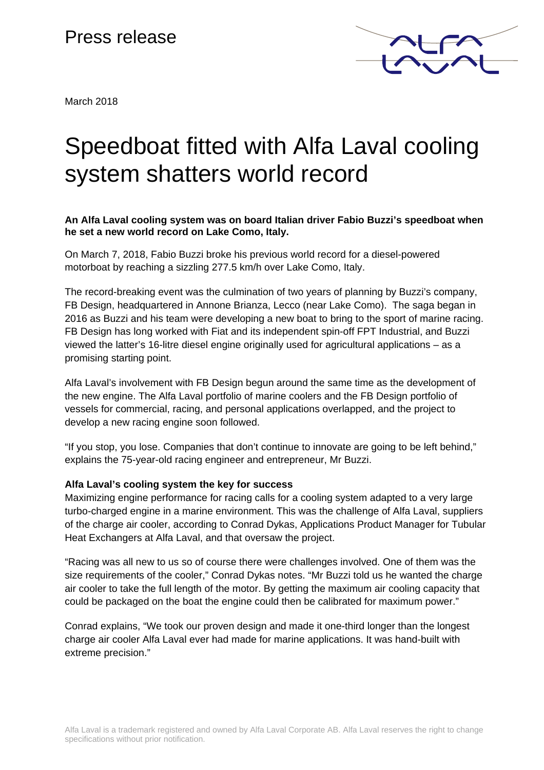## Press release



March 2018

# Speedboat fitted with Alfa Laval cooling system shatters world record

**An Alfa Laval cooling system was on board Italian driver Fabio Buzzi's speedboat when he set a new world record on Lake Como, Italy.** 

On March 7, 2018, Fabio Buzzi broke his previous world record for a diesel-powered motorboat by reaching a sizzling 277.5 km/h over Lake Como, Italy.

The record-breaking event was the culmination of two years of planning by Buzzi's company, FB Design, headquartered in Annone Brianza, Lecco (near Lake Como). The saga began in 2016 as Buzzi and his team were developing a new boat to bring to the sport of marine racing. FB Design has long worked with Fiat and its independent spin-off FPT Industrial, and Buzzi viewed the latter's 16-litre diesel engine originally used for agricultural applications – as a promising starting point.

Alfa Laval's involvement with FB Design begun around the same time as the development of the new engine. The Alfa Laval portfolio of marine coolers and the FB Design portfolio of vessels for commercial, racing, and personal applications overlapped, and the project to develop a new racing engine soon followed.

"If you stop, you lose. Companies that don't continue to innovate are going to be left behind," explains the 75-year-old racing engineer and entrepreneur, Mr Buzzi.

### **Alfa Laval's cooling system the key for success**

Maximizing engine performance for racing calls for a cooling system adapted to a very large turbo-charged engine in a marine environment. This was the challenge of Alfa Laval, suppliers of the charge air cooler, according to Conrad Dykas, Applications Product Manager for Tubular Heat Exchangers at Alfa Laval, and that oversaw the project.

"Racing was all new to us so of course there were challenges involved. One of them was the size requirements of the cooler," Conrad Dykas notes. "Mr Buzzi told us he wanted the charge air cooler to take the full length of the motor. By getting the maximum air cooling capacity that could be packaged on the boat the engine could then be calibrated for maximum power."

Conrad explains, "We took our proven design and made it one-third longer than the longest charge air cooler Alfa Laval ever had made for marine applications. It was hand-built with extreme precision."